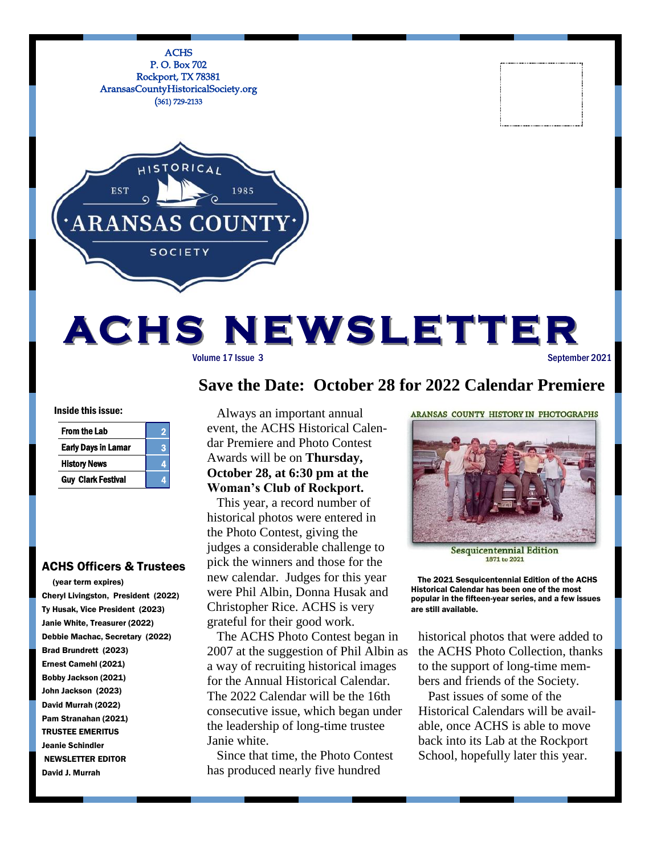

# **Save the Date: October 28 for 2022 Calendar Premiere**

Inside this issue:

| <b>From the Lab</b>        |    |
|----------------------------|----|
| <b>Early Days in Lamar</b> | ۷ì |
| <b>History News</b>        |    |
| <b>Guy Clark Festival</b>  |    |

### ACHS Officers & Trustees

 (year term expires) Cheryl Livingston, President (2022) Ty Husak, Vice President (2023) Janie White, Treasurer (2022) Debbie Machac, Secretary (2022) Brad Brundrett (2023) Ernest Camehl (2021) Bobby Jackson (2021) John Jackson (2023) David Murrah (2022) Pam Stranahan (2021) TRUSTEE EMERITUS Jeanie Schindler NEWSLETTER EDITOR David J. Murrah

 Always an important annual event, the ACHS Historical Calendar Premiere and Photo Contest Awards will be on **Thursday, October 28, at 6:30 pm at the Woman's Club of Rockport.**

 This year, a record number of historical photos were entered in the Photo Contest, giving the judges a considerable challenge to pick the winners and those for the new calendar. Judges for this year were Phil Albin, Donna Husak and Christopher Rice. ACHS is very grateful for their good work.

 The ACHS Photo Contest began in 2007 at the suggestion of Phil Albin as a way of recruiting historical images for the Annual Historical Calendar. The 2022 Calendar will be the 16th consecutive issue, which began under the leadership of long-time trustee Janie white.

 Since that time, the Photo Contest has produced nearly five hundred

ARANSAS COUNTY HISTORY IN PHOTOGRAPHS



**Sesquicentennial Edition** 1871 to 2021

 The 2021 Sesquicentennial Edition of the ACHS Historical Calendar has been one of the most popular in the fifteen-year series, and a few issues are still available.

historical photos that were added to the ACHS Photo Collection, thanks to the support of long-time members and friends of the Society.

 Past issues of some of the Historical Calendars will be available, once ACHS is able to move back into its Lab at the Rockport School, hopefully later this year.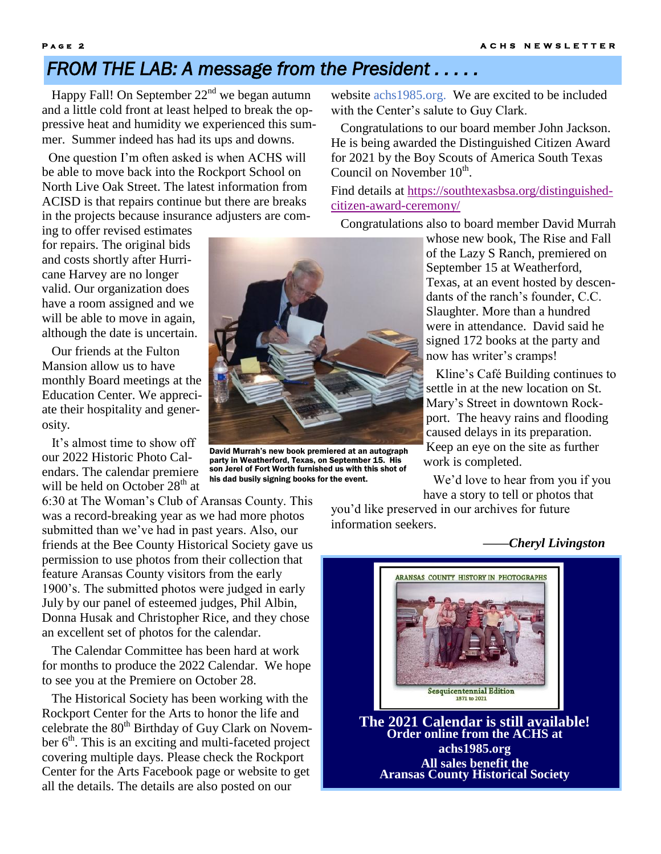# *FROM THE LAB: A message from the President . . . . .*

Happy Fall! On September  $22<sup>nd</sup>$  we began autumn and a little cold front at least helped to break the oppressive heat and humidity we experienced this summer. Summer indeed has had its ups and downs.

 One question I'm often asked is when ACHS will be able to move back into the Rockport School on North Live Oak Street. The latest information from ACISD is that repairs continue but there are breaks in the projects because insurance adjusters are com-

ing to offer revised estimates for repairs. The original bids and costs shortly after Hurricane Harvey are no longer valid. Our organization does have a room assigned and we will be able to move in again, although the date is uncertain.

 Our friends at the Fulton Mansion allow us to have monthly Board meetings at the Education Center. We appreciate their hospitality and generosity.

 It's almost time to show off our 2022 Historic Photo Calendars. The calendar premiere will be held on October  $28<sup>th</sup>$  at

6:30 at The Woman's Club of Aransas County. This was a record-breaking year as we had more photos submitted than we've had in past years. Also, our friends at the Bee County Historical Society gave us permission to use photos from their collection that feature Aransas County visitors from the early 1900's. The submitted photos were judged in early July by our panel of esteemed judges, Phil Albin, Donna Husak and Christopher Rice, and they chose an excellent set of photos for the calendar.

 The Calendar Committee has been hard at work for months to produce the 2022 Calendar. We hope to see you at the Premiere on October 28.

 The Historical Society has been working with the Rockport Center for the Arts to honor the life and celebrate the  $80<sup>th</sup>$  Birthday of Guy Clark on November  $6<sup>th</sup>$ . This is an exciting and multi-faceted project covering multiple days. Please check the Rockport Center for the Arts Facebook page or website to get all the details. The details are also posted on our

website achs1985.org. We are excited to be included with the Center's salute to Guy Clark.

 Congratulations to our board member John Jackson. He is being awarded the Distinguished Citizen Award for 2021 by the Boy Scouts of America South Texas Council on November 10<sup>th</sup>.

Find details at [https://southtexasbsa.org/distinguished](https://southtexasbsa.org/distinguished-citizen-award-ceremony/)[citizen-award-ceremony/](https://southtexasbsa.org/distinguished-citizen-award-ceremony/)

Congratulations also to board member David Murrah

whose new book, The Rise and Fall of the Lazy S Ranch, premiered on September 15 at Weatherford, Texas, at an event hosted by descendants of the ranch's founder, C.C. Slaughter. More than a hundred were in attendance. David said he signed 172 books at the party and now has writer's cramps!

 Kline's Café Building continues to settle in at the new location on St. Mary's Street in downtown Rockport. The heavy rains and flooding caused delays in its preparation. Keep an eye on the site as further work is completed.

 We'd love to hear from you if you have a story to tell or photos that

you'd like preserved in our archives for future information seekers.

*——Cheryl Livingston*



David Murrah's new book premiered at an autograph party in Weatherford, Texas, on September 15. His son Jerel of Fort Worth furnished us with this shot of his dad busily signing books for the event.



**The 2021 Calendar is still available! Order online from the ACHS at achs1985.org All sales benefit the Aransas County Historical Society**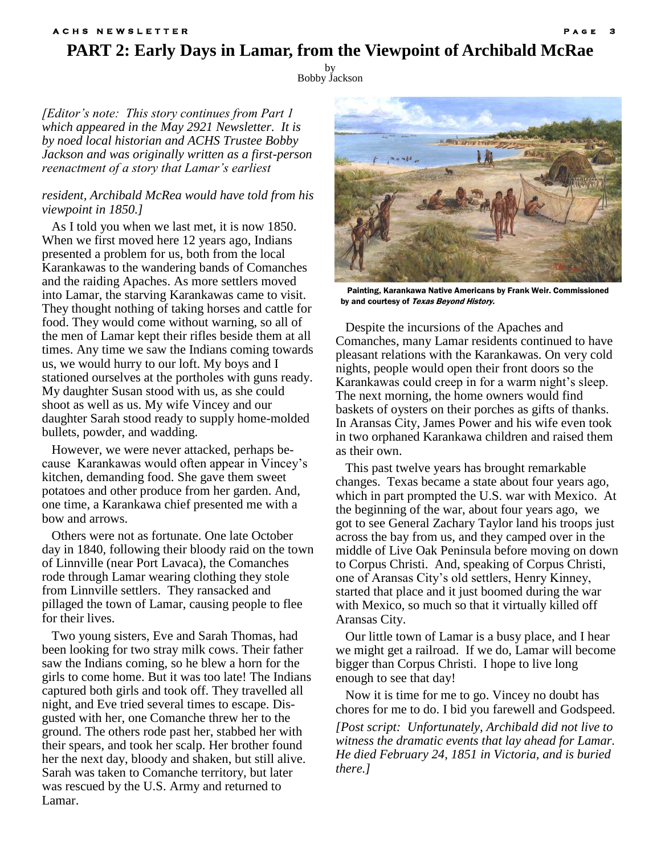### **PART 2: Early Days in Lamar, from the Viewpoint of Archibald McRae A C H S N E W S L E T T E R**

by Bobby Jackson

*[Editor's note: This story continues from Part 1 which appeared in the May 2921 Newsletter. It is by noed local historian and ACHS Trustee Bobby Jackson and was originally written as a first-person reenactment of a story that Lamar's earliest* 

#### *resident, Archibald McRea would have told from his viewpoint in 1850.]*

 As I told you when we last met, it is now 1850. When we first moved here 12 years ago, Indians presented a problem for us, both from the local Karankawas to the wandering bands of Comanches and the raiding Apaches. As more settlers moved into Lamar, the starving Karankawas came to visit. They thought nothing of taking horses and cattle for food. They would come without warning, so all of the men of Lamar kept their rifles beside them at all times. Any time we saw the Indians coming towards us, we would hurry to our loft. My boys and I stationed ourselves at the portholes with guns ready. My daughter Susan stood with us, as she could shoot as well as us. My wife Vincey and our daughter Sarah stood ready to supply home-molded bullets, powder, and wadding.

 However, we were never attacked, perhaps because Karankawas would often appear in Vincey's kitchen, demanding food. She gave them sweet potatoes and other produce from her garden. And, one time, a Karankawa chief presented me with a bow and arrows.

 Others were not as fortunate. One late October day in 1840, following their bloody raid on the town of Linnville (near Port Lavaca), the Comanches rode through Lamar wearing clothing they stole from Linnville settlers. They ransacked and pillaged the town of Lamar, causing people to flee for their lives.

 Two young sisters, Eve and Sarah Thomas, had been looking for two stray milk cows. Their father saw the Indians coming, so he blew a horn for the girls to come home. But it was too late! The Indians captured both girls and took off. They travelled all night, and Eve tried several times to escape. Disgusted with her, one Comanche threw her to the ground. The others rode past her, stabbed her with their spears, and took her scalp. Her brother found her the next day, bloody and shaken, but still alive. Sarah was taken to Comanche territory, but later was rescued by the U.S. Army and returned to Lamar.



 Painting, Karankawa Native Americans by Frank Weir. Commissioned by and courtesy of Texas Beyond History.

 Despite the incursions of the Apaches and Comanches, many Lamar residents continued to have pleasant relations with the Karankawas. On very cold nights, people would open their front doors so the Karankawas could creep in for a warm night's sleep. The next morning, the home owners would find baskets of oysters on their porches as gifts of thanks. In Aransas City, James Power and his wife even took in two orphaned Karankawa children and raised them as their own.

 This past twelve years has brought remarkable changes. Texas became a state about four years ago, which in part prompted the U.S. war with Mexico. At the beginning of the war, about four years ago, we got to see General Zachary Taylor land his troops just across the bay from us, and they camped over in the middle of Live Oak Peninsula before moving on down to Corpus Christi. And, speaking of Corpus Christi, one of Aransas City's old settlers, Henry Kinney, started that place and it just boomed during the war with Mexico, so much so that it virtually killed off Aransas City.

 Our little town of Lamar is a busy place, and I hear we might get a railroad. If we do, Lamar will become bigger than Corpus Christi. I hope to live long enough to see that day!

 Now it is time for me to go. Vincey no doubt has chores for me to do. I bid you farewell and Godspeed. *[Post script: Unfortunately, Archibald did not live to witness the dramatic events that lay ahead for Lamar. He died February 24, 1851 in Victoria, and is buried there.]*